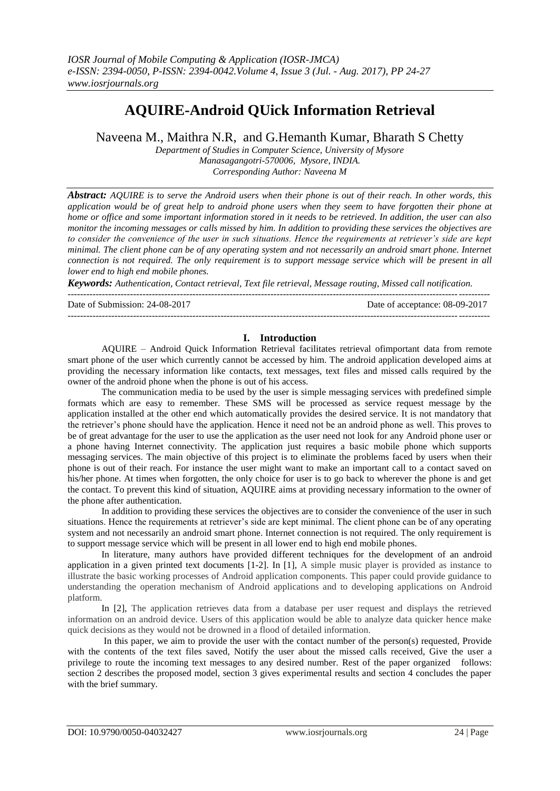# **AQUIRE-Android QUick Information Retrieval**

Naveena M., Maithra N.R, and G.Hemanth Kumar, Bharath S Chetty

*Department of Studies in Computer Science, University of Mysore Manasagangotri-570006, Mysore, INDIA. Corresponding Author: Naveena M*

*Abstract: AQUIRE is to serve the Android users when their phone is out of their reach. In other words, this application would be of great help to android phone users when they seem to have forgotten their phone at home or office and some important information stored in it needs to be retrieved. In addition, the user can also monitor the incoming messages or calls missed by him. In addition to providing these services the objectives are to consider the convenience of the user in such situations. Hence the requirements at retriever's side are kept minimal. The client phone can be of any operating system and not necessarily an android smart phone. Internet connection is not required. The only requirement is to support message service which will be present in all lower end to high end mobile phones.*

*Keywords: Authentication, Contact retrieval, Text file retrieval, Message routing, Missed call notification.*

---------------------------------------------------------------------------------------------------------------------------------------

Date of Submission: 24-08-2017 Date of acceptance: 08-09-2017

### **I. Introduction**

---------------------------------------------------------------------------------------------------------------------------------------

AQUIRE – Android Quick Information Retrieval facilitates retrieval ofimportant data from remote smart phone of the user which currently cannot be accessed by him. The android application developed aims at providing the necessary information like contacts, text messages, text files and missed calls required by the owner of the android phone when the phone is out of his access.

The communication media to be used by the user is simple messaging services with predefined simple formats which are easy to remember. These SMS will be processed as service request message by the application installed at the other end which automatically provides the desired service. It is not mandatory that the retriever's phone should have the application. Hence it need not be an android phone as well. This proves to be of great advantage for the user to use the application as the user need not look for any Android phone user or a phone having Internet connectivity. The application just requires a basic mobile phone which supports messaging services. The main objective of this project is to eliminate the problems faced by users when their phone is out of their reach. For instance the user might want to make an important call to a contact saved on his/her phone. At times when forgotten, the only choice for user is to go back to wherever the phone is and get the contact. To prevent this kind of situation, AQUIRE aims at providing necessary information to the owner of the phone after authentication.

In addition to providing these services the objectives are to consider the convenience of the user in such situations. Hence the requirements at retriever's side are kept minimal. The client phone can be of any operating system and not necessarily an android smart phone. Internet connection is not required. The only requirement is to support message service which will be present in all lower end to high end mobile phones.

In literature, many authors have provided different techniques for the development of an android application in a given printed text documents [1-2]. In [1], A simple music player is provided as instance to illustrate the basic working processes of Android application components. This paper could provide guidance to understanding the operation mechanism of Android applications and to developing applications on Android platform.

In [2], The application retrieves data from a database per user request and displays the retrieved information on an android device. Users of this application would be able to analyze data quicker hence make quick decisions as they would not be drowned in a flood of detailed information.

In this paper, we aim to provide the user with the contact number of the person(s) requested, Provide with the contents of the text files saved, Notify the user about the missed calls received, Give the user a privilege to route the incoming text messages to any desired number. Rest of the paper organized follows: section 2 describes the proposed model, section 3 gives experimental results and section 4 concludes the paper with the brief summary.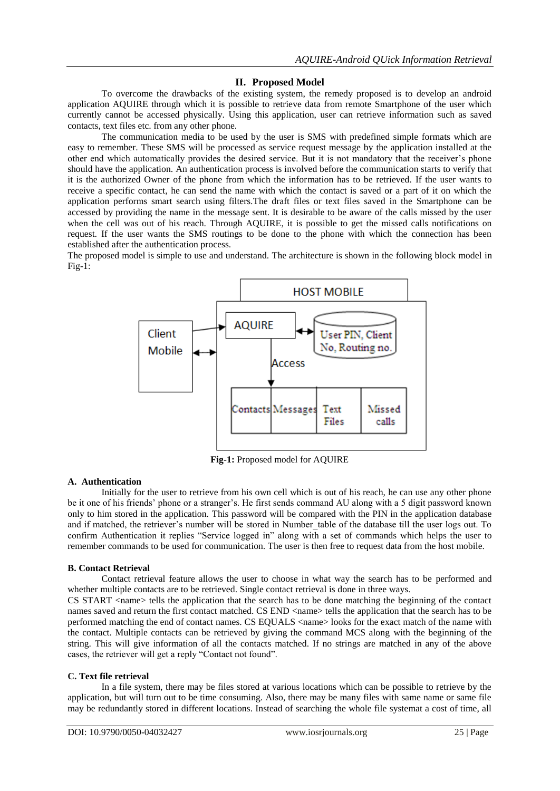# **II. Proposed Model**

To overcome the drawbacks of the existing system, the remedy proposed is to develop an android application AQUIRE through which it is possible to retrieve data from remote Smartphone of the user which currently cannot be accessed physically. Using this application, user can retrieve information such as saved contacts, text files etc. from any other phone.

The communication media to be used by the user is SMS with predefined simple formats which are easy to remember. These SMS will be processed as service request message by the application installed at the other end which automatically provides the desired service. But it is not mandatory that the receiver's phone should have the application. An authentication process is involved before the communication starts to verify that it is the authorized Owner of the phone from which the information has to be retrieved. If the user wants to receive a specific contact, he can send the name with which the contact is saved or a part of it on which the application performs smart search using filters.The draft files or text files saved in the Smartphone can be accessed by providing the name in the message sent. It is desirable to be aware of the calls missed by the user when the cell was out of his reach. Through AQUIRE, it is possible to get the missed calls notifications on request. If the user wants the SMS routings to be done to the phone with which the connection has been established after the authentication process.

The proposed model is simple to use and understand. The architecture is shown in the following block model in  $Fig-1:$ 



**Fig-1:** Proposed model for AQUIRE

### **A. Authentication**

Initially for the user to retrieve from his own cell which is out of his reach, he can use any other phone be it one of his friends' phone or a stranger's. He first sends command AU along with a 5 digit password known only to him stored in the application. This password will be compared with the PIN in the application database and if matched, the retriever's number will be stored in Number\_table of the database till the user logs out. To confirm Authentication it replies "Service logged in" along with a set of commands which helps the user to remember commands to be used for communication. The user is then free to request data from the host mobile.

### **B. Contact Retrieval**

Contact retrieval feature allows the user to choose in what way the search has to be performed and whether multiple contacts are to be retrieved. Single contact retrieval is done in three ways.

CS START <name> tells the application that the search has to be done matching the beginning of the contact names saved and return the first contact matched. CS END <name> tells the application that the search has to be performed matching the end of contact names. CS EQUALS <name> looks for the exact match of the name with the contact. Multiple contacts can be retrieved by giving the command MCS along with the beginning of the string. This will give information of all the contacts matched. If no strings are matched in any of the above cases, the retriever will get a reply "Contact not found".

### **C. Text file retrieval**

In a file system, there may be files stored at various locations which can be possible to retrieve by the application, but will turn out to be time consuming. Also, there may be many files with same name or same file may be redundantly stored in different locations. Instead of searching the whole file systemat a cost of time, all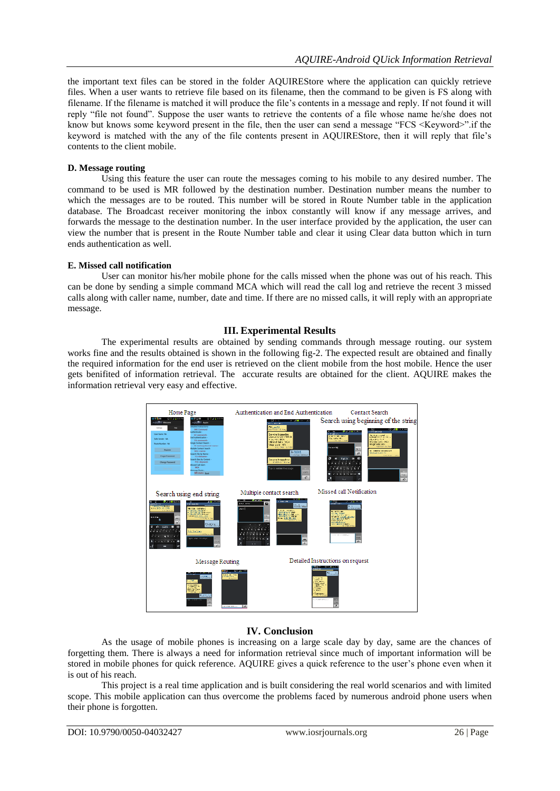the important text files can be stored in the folder AQUIREStore where the application can quickly retrieve files. When a user wants to retrieve file based on its filename, then the command to be given is FS along with filename. If the filename is matched it will produce the file's contents in a message and reply. If not found it will reply "file not found". Suppose the user wants to retrieve the contents of a file whose name he/she does not know but knows some keyword present in the file, then the user can send a message "FCS <Keyword>".if the keyword is matched with the any of the file contents present in AQUIREStore, then it will reply that file's contents to the client mobile.

# **D. Message routing**

Using this feature the user can route the messages coming to his mobile to any desired number. The command to be used is MR followed by the destination number. Destination number means the number to which the messages are to be routed. This number will be stored in Route Number table in the application database. The Broadcast receiver monitoring the inbox constantly will know if any message arrives, and forwards the message to the destination number. In the user interface provided by the application, the user can view the number that is present in the Route Number table and clear it using Clear data button which in turn ends authentication as well.

## **E. Missed call notification**

User can monitor his/her mobile phone for the calls missed when the phone was out of his reach. This can be done by sending a simple command MCA which will read the call log and retrieve the recent 3 missed calls along with caller name, number, date and time. If there are no missed calls, it will reply with an appropriate message.

# **III. Experimental Results**

The experimental results are obtained by sending commands through message routing. our system works fine and the results obtained is shown in the following fig-2. The expected result are obtained and finally the required information for the end user is retrieved on the client mobile from the host mobile. Hence the user gets benifited of information retrieval. The accurate results are obtained for the client. AQUIRE makes the information retrieval very easy and effective.



# **IV. Conclusion**

As the usage of mobile phones is increasing on a large scale day by day, same are the chances of forgetting them. There is always a need for information retrieval since much of important information will be stored in mobile phones for quick reference. AQUIRE gives a quick reference to the user's phone even when it is out of his reach.

This project is a real time application and is built considering the real world scenarios and with limited scope. This mobile application can thus overcome the problems faced by numerous android phone users when their phone is forgotten.